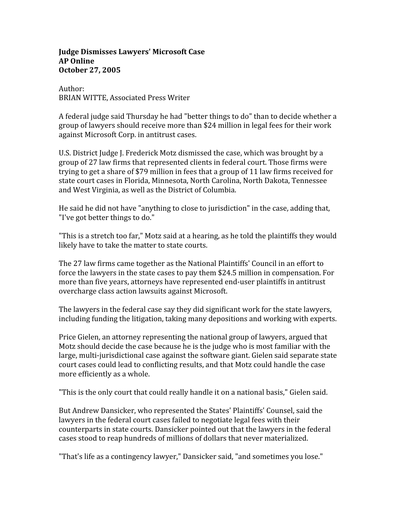## **Judge Dismisses Lawyers' Microsoft Case AP Online October 27, 2005**

Author: BRIAN WITTE, Associated Press Writer

A federal judge said Thursday he had "better things to do" than to decide whether a group of lawyers should receive more than \$24 million in legal fees for their work against Microsoft Corp. in antitrust cases.

U.S. District Judge J. Frederick Motz dismissed the case, which was brought by a group of 27 law firms that represented clients in federal court. Those firms were trying to get a share of \$79 million in fees that a group of 11 law firms received for state court cases in Florida, Minnesota, North Carolina, North Dakota, Tennessee and West Virginia, as well as the District of Columbia.

He said he did not have "anything to close to jurisdiction" in the case, adding that, "I've got better things to do."

"This is a stretch too far," Motz said at a hearing, as he told the plaintiffs they would likely have to take the matter to state courts.

The 27 law firms came together as the National Plaintiffs' Council in an effort to force the lawyers in the state cases to pay them \$24.5 million in compensation. For more than five years, attorneys have represented end‐user plaintiffs in antitrust overcharge class action lawsuits against Microsoft.

The lawyers in the federal case say they did significant work for the state lawyers, including funding the litigation, taking many depositions and working with experts.

Price Gielen, an attorney representing the national group of lawyers, argued that Motz should decide the case because he is the judge who is most familiar with the large, multi‐jurisdictional case against the software giant. Gielen said separate state court cases could lead to conflicting results, and that Motz could handle the case more efficiently as a whole.

"This is the only court that could really handle it on a national basis," Gielen said.

But Andrew Dansicker, who represented the States' Plaintiffs' Counsel, said the lawyers in the federal court cases failed to negotiate legal fees with their counterparts in state courts. Dansicker pointed out that the lawyers in the federal cases stood to reap hundreds of millions of dollars that never materialized.

"That's life as a contingency lawyer," Dansicker said, "and sometimes you lose."